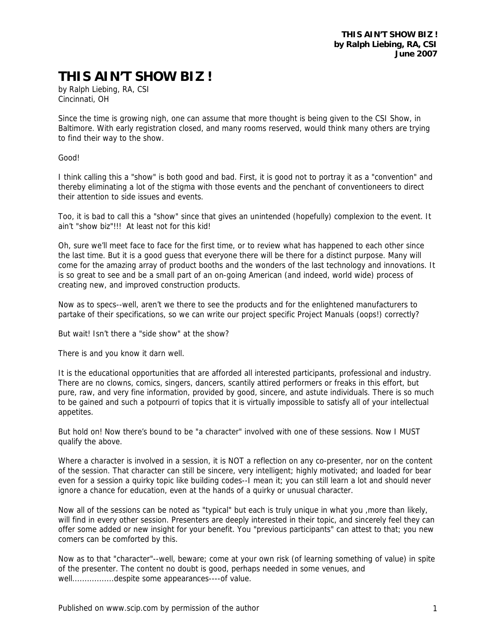## **THIS AIN'T SHOW BIZ !**

by Ralph Liebing, RA, CSI Cincinnati, OH

Since the time is growing nigh, one can assume that more thought is being given to the CSI Show, in Baltimore. With early registration closed, and many rooms reserved, would think many others are trying to find their way to the show.

Good!

I think calling this a "show" is both good and bad. First, it is good not to portray it as a "convention" and thereby eliminating a lot of the stigma with those events and the penchant of conventioneers to direct their attention to side issues and events.

Too, it is bad to call this a "show" since that gives an unintended (hopefully) complexion to the event. It ain't "show biz"!!! At least not for this kid!

Oh, sure we'll meet face to face for the first time, or to review what has happened to each other since the last time. But it is a good guess that everyone there will be there for a distinct purpose. Many will come for the amazing array of product booths and the wonders of the last technology and innovations. It is so great to see and be a small part of an on-going American (and indeed, world wide) process of creating new, and improved construction products.

Now as to specs--well, aren't we there to see the products and for the enlightened manufacturers to partake of their specifications, so we can write our project specific Project Manuals (oops!) correctly?

But wait! Isn't there a "side show" at the show?

There is and you know it darn well.

It is the educational opportunities that are afforded all interested participants, professional and industry. There are no clowns, comics, singers, dancers, scantily attired performers or freaks in this effort, but pure, raw, and very fine information, provided by good, sincere, and astute individuals. There is so much to be gained and such a potpourri of topics that it is virtually impossible to satisfy all of your intellectual appetites.

But hold on! Now there's bound to be "a character" involved with one of these sessions. Now I MUST qualify the above.

Where a character is involved in a session, it is NOT a reflection on any co-presenter, nor on the content of the session. That character can still be sincere, very intelligent; highly motivated; and loaded for bear even for a session a quirky topic like building codes--I mean it; you can still learn a lot and should never ignore a chance for education, even at the hands of a quirky or unusual character.

Now all of the sessions can be noted as "typical" but each is truly unique in what you ,more than likely, will find in every other session. Presenters are deeply interested in their topic, and sincerely feel they can offer some added or new insight for your benefit. You "previous participants" can attest to that; you new comers can be comforted by this.

Now as to that "character"--well, beware; come at your own risk (of learning something of value) in spite of the presenter. The content no doubt is good, perhaps needed in some venues, and well.................despite some appearances----of value.